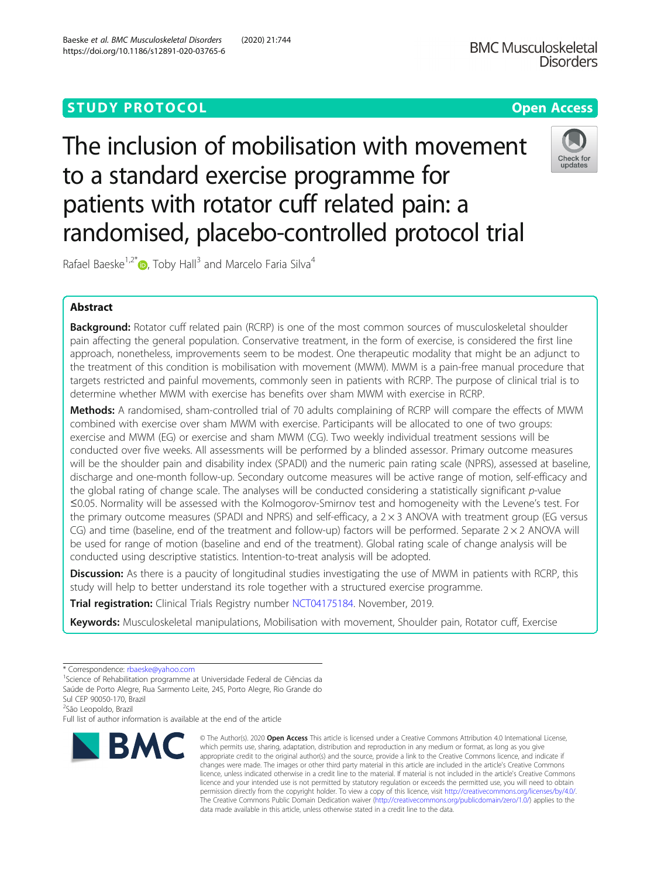# **STUDY PROTOCOL CONSUMING THE RESERVE ACCESS**

# The inclusion of mobilisation with movement to a standard exercise programme for patients with rotator cuff related pain: a randomised, placebo-controlled protocol trial

Rafael Baeske<sup>1,2[\\*](http://orcid.org/0000-0002-3468-8240)</sup> D, Toby Hall<sup>3</sup> and Marcelo Faria Silva<sup>4</sup>

# Abstract

**Background:** Rotator cuff related pain (RCRP) is one of the most common sources of musculoskeletal shoulder pain affecting the general population. Conservative treatment, in the form of exercise, is considered the first line approach, nonetheless, improvements seem to be modest. One therapeutic modality that might be an adjunct to the treatment of this condition is mobilisation with movement (MWM). MWM is a pain-free manual procedure that targets restricted and painful movements, commonly seen in patients with RCRP. The purpose of clinical trial is to determine whether MWM with exercise has benefits over sham MWM with exercise in RCRP.

Methods: A randomised, sham-controlled trial of 70 adults complaining of RCRP will compare the effects of MWM combined with exercise over sham MWM with exercise. Participants will be allocated to one of two groups: exercise and MWM (EG) or exercise and sham MWM (CG). Two weekly individual treatment sessions will be conducted over five weeks. All assessments will be performed by a blinded assessor. Primary outcome measures will be the shoulder pain and disability index (SPADI) and the numeric pain rating scale (NPRS), assessed at baseline, discharge and one-month follow-up. Secondary outcome measures will be active range of motion, self-efficacy and the global rating of change scale. The analyses will be conducted considering a statistically significant p-value ≤0.05. Normality will be assessed with the Kolmogorov-Smirnov test and homogeneity with the Levene's test. For the primary outcome measures (SPADI and NPRS) and self-efficacy, a  $2 \times 3$  ANOVA with treatment group (EG versus CG) and time (baseline, end of the treatment and follow-up) factors will be performed. Separate  $2 \times 2$  ANOVA will be used for range of motion (baseline and end of the treatment). Global rating scale of change analysis will be conducted using descriptive statistics. Intention-to-treat analysis will be adopted.

**Discussion:** As there is a paucity of longitudinal studies investigating the use of MWM in patients with RCRP, this study will help to better understand its role together with a structured exercise programme.

Trial registration: Clinical Trials Registry number [NCT04175184.](https://www.clinicaltrials.gov/ct2/show/NCT04175184?term=NCT04175184&draw=2&rank=1) November, 2019.

Keywords: Musculoskeletal manipulations, Mobilisation with movement, Shoulder pain, Rotator cuff, Exercise

\* Correspondence: [rbaeske@yahoo.com](mailto:rbaeske@yahoo.com) <sup>1</sup>

**BMC** 

<sup>1</sup>Science of Rehabilitation programme at Universidade Federal de Ciências da Saúde de Porto Alegre, Rua Sarmento Leite, 245, Porto Alegre, Rio Grande do

Sul CEP 90050-170, Brazil

<sup>2</sup>São Leopoldo, Brazil

Full list of author information is available at the end of the article

# Baeske et al. BMC Musculoskeletal Disorders (2020) 21:744 https://doi.org/10.1186/s12891-020-03765-6

© The Author(s), 2020 **Open Access** This article is licensed under a Creative Commons Attribution 4.0 International License, which permits use, sharing, adaptation, distribution and reproduction in any medium or format, as long as you give appropriate credit to the original author(s) and the source, provide a link to the Creative Commons licence, and indicate if changes were made. The images or other third party material in this article are included in the article's Creative Commons licence, unless indicated otherwise in a credit line to the material. If material is not included in the article's Creative Commons licence and your intended use is not permitted by statutory regulation or exceeds the permitted use, you will need to obtain permission directly from the copyright holder. To view a copy of this licence, visit [http://creativecommons.org/licenses/by/4.0/.](http://creativecommons.org/licenses/by/4.0/) The Creative Commons Public Domain Dedication waiver [\(http://creativecommons.org/publicdomain/zero/1.0/](http://creativecommons.org/publicdomain/zero/1.0/)) applies to the data made available in this article, unless otherwise stated in a credit line to the data.

**BMC Musculoskeletal** 



**Disorders** 

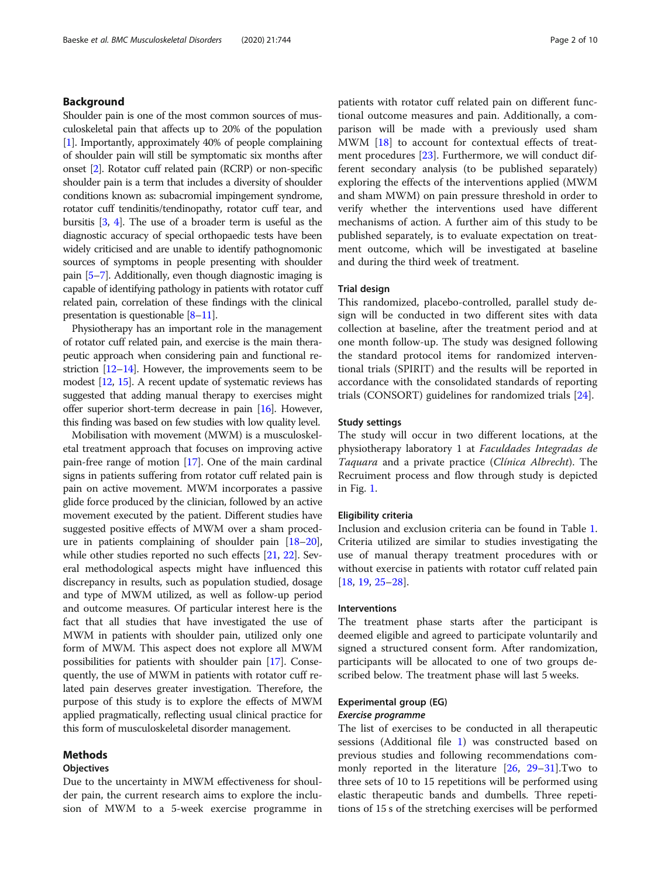# Background

Shoulder pain is one of the most common sources of musculoskeletal pain that affects up to 20% of the population [[1](#page-8-0)]. Importantly, approximately 40% of people complaining of shoulder pain will still be symptomatic six months after onset [\[2\]](#page-8-0). Rotator cuff related pain (RCRP) or non-specific shoulder pain is a term that includes a diversity of shoulder conditions known as: subacromial impingement syndrome, rotator cuff tendinitis/tendinopathy, rotator cuff tear, and bursitis [\[3,](#page-8-0) [4](#page-8-0)]. The use of a broader term is useful as the diagnostic accuracy of special orthopaedic tests have been widely criticised and are unable to identify pathognomonic sources of symptoms in people presenting with shoulder pain [[5](#page-8-0)–[7\]](#page-8-0). Additionally, even though diagnostic imaging is capable of identifying pathology in patients with rotator cuff related pain, correlation of these findings with the clinical presentation is questionable [\[8](#page-8-0)–[11](#page-8-0)].

Physiotherapy has an important role in the management of rotator cuff related pain, and exercise is the main therapeutic approach when considering pain and functional restriction  $[12-14]$  $[12-14]$  $[12-14]$  $[12-14]$  $[12-14]$ . However, the improvements seem to be modest [[12](#page-8-0), [15\]](#page-8-0). A recent update of systematic reviews has suggested that adding manual therapy to exercises might offer superior short-term decrease in pain [[16](#page-8-0)]. However, this finding was based on few studies with low quality level.

Mobilisation with movement (MWM) is a musculoskeletal treatment approach that focuses on improving active pain-free range of motion [\[17](#page-8-0)]. One of the main cardinal signs in patients suffering from rotator cuff related pain is pain on active movement. MWM incorporates a passive glide force produced by the clinician, followed by an active movement executed by the patient. Different studies have suggested positive effects of MWM over a sham procedure in patients complaining of shoulder pain [\[18](#page-8-0)–[20](#page-8-0)], while other studies reported no such effects [\[21](#page-8-0), [22\]](#page-8-0). Several methodological aspects might have influenced this discrepancy in results, such as population studied, dosage and type of MWM utilized, as well as follow-up period and outcome measures. Of particular interest here is the fact that all studies that have investigated the use of MWM in patients with shoulder pain, utilized only one form of MWM. This aspect does not explore all MWM possibilities for patients with shoulder pain [\[17\]](#page-8-0). Consequently, the use of MWM in patients with rotator cuff related pain deserves greater investigation. Therefore, the purpose of this study is to explore the effects of MWM applied pragmatically, reflecting usual clinical practice for this form of musculoskeletal disorder management.

# Methods

#### **Objectives**

Due to the uncertainty in MWM effectiveness for shoulder pain, the current research aims to explore the inclusion of MWM to a 5-week exercise programme in patients with rotator cuff related pain on different functional outcome measures and pain. Additionally, a comparison will be made with a previously used sham MWM [[18\]](#page-8-0) to account for contextual effects of treatment procedures [[23](#page-9-0)]. Furthermore, we will conduct different secondary analysis (to be published separately) exploring the effects of the interventions applied (MWM and sham MWM) on pain pressure threshold in order to verify whether the interventions used have different mechanisms of action. A further aim of this study to be published separately, is to evaluate expectation on treatment outcome, which will be investigated at baseline and during the third week of treatment.

# Trial design

This randomized, placebo-controlled, parallel study design will be conducted in two different sites with data collection at baseline, after the treatment period and at one month follow-up. The study was designed following the standard protocol items for randomized interventional trials (SPIRIT) and the results will be reported in accordance with the consolidated standards of reporting trials (CONSORT) guidelines for randomized trials [\[24](#page-9-0)].

#### Study settings

The study will occur in two different locations, at the physiotherapy laboratory 1 at Faculdades Integradas de Taquara and a private practice (Clínica Albrecht). The Recruiment process and flow through study is depicted in Fig. [1](#page-2-0).

#### Eligibility criteria

Inclusion and exclusion criteria can be found in Table [1](#page-3-0). Criteria utilized are similar to studies investigating the use of manual therapy treatment procedures with or without exercise in patients with rotator cuff related pain [[18,](#page-8-0) [19,](#page-8-0) [25](#page-9-0)–[28](#page-9-0)].

# Interventions

The treatment phase starts after the participant is deemed eligible and agreed to participate voluntarily and signed a structured consent form. After randomization, participants will be allocated to one of two groups described below. The treatment phase will last 5 weeks.

#### Experimental group (EG)

# Exercise programme

The list of exercises to be conducted in all therapeutic sessions (Additional file [1](#page-7-0)) was constructed based on previous studies and following recommendations commonly reported in the literature [[26,](#page-9-0) [29](#page-9-0)–[31](#page-9-0)].Two to three sets of 10 to 15 repetitions will be performed using elastic therapeutic bands and dumbells. Three repetitions of 15 s of the stretching exercises will be performed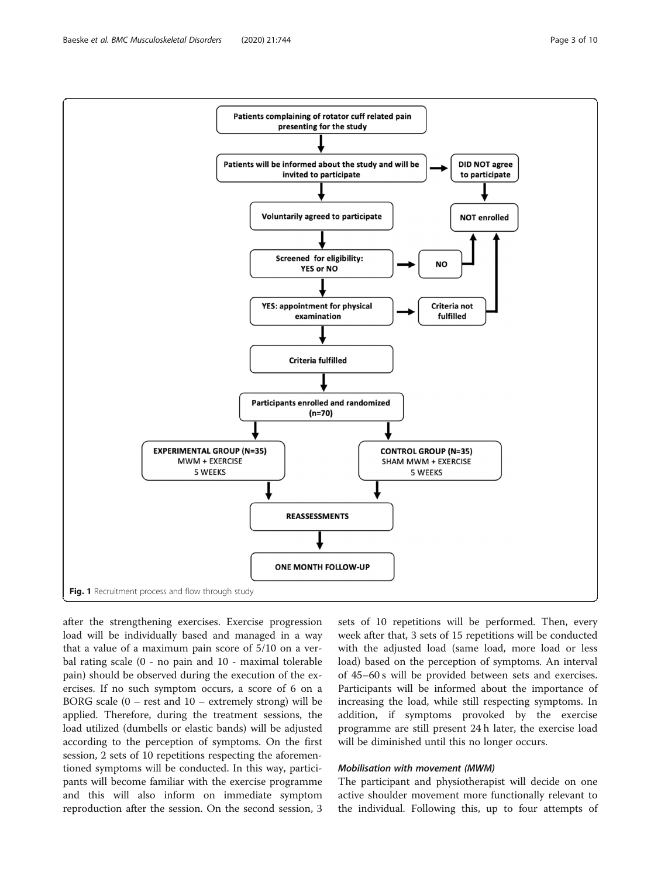<span id="page-2-0"></span>

after the strengthening exercises. Exercise progression load will be individually based and managed in a way that a value of a maximum pain score of 5/10 on a verbal rating scale (0 - no pain and 10 - maximal tolerable pain) should be observed during the execution of the exercises. If no such symptom occurs, a score of 6 on a BORG scale  $(0 - rest$  and  $10 - extremely$  strong) will be applied. Therefore, during the treatment sessions, the load utilized (dumbells or elastic bands) will be adjusted according to the perception of symptoms. On the first session, 2 sets of 10 repetitions respecting the aforementioned symptoms will be conducted. In this way, participants will become familiar with the exercise programme and this will also inform on immediate symptom reproduction after the session. On the second session, 3

sets of 10 repetitions will be performed. Then, every week after that, 3 sets of 15 repetitions will be conducted with the adjusted load (same load, more load or less load) based on the perception of symptoms. An interval of 45–60 s will be provided between sets and exercises. Participants will be informed about the importance of increasing the load, while still respecting symptoms. In addition, if symptoms provoked by the exercise programme are still present 24 h later, the exercise load will be diminished until this no longer occurs.

#### Mobilisation with movement (MWM)

The participant and physiotherapist will decide on one active shoulder movement more functionally relevant to the individual. Following this, up to four attempts of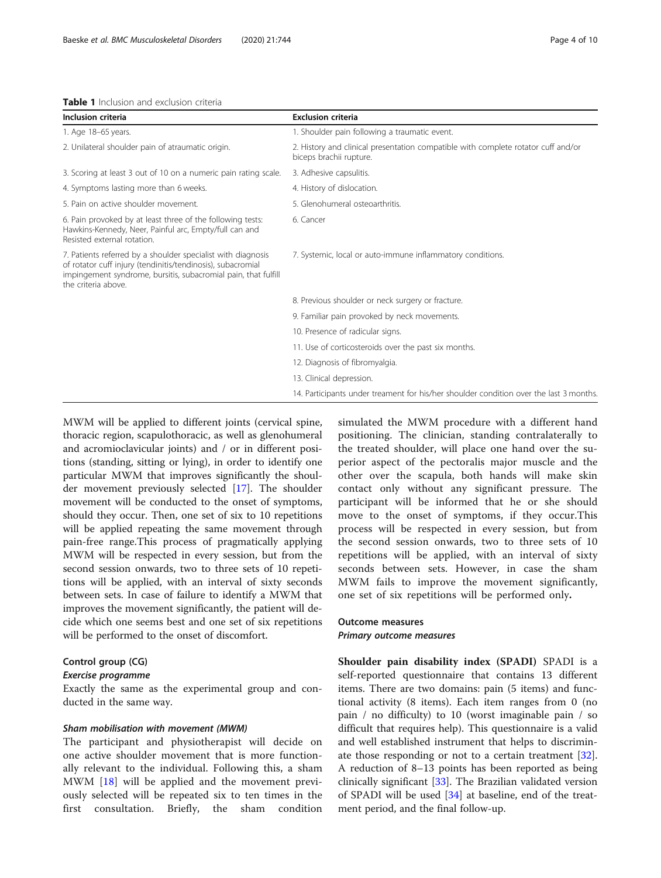<span id="page-3-0"></span>

| Table 1 Inclusion and exclusion criteria |  |
|------------------------------------------|--|
|------------------------------------------|--|

| Inclusion criteria                                                                                                                                                                                                   | <b>Exclusion criteria</b>                                                                                    |
|----------------------------------------------------------------------------------------------------------------------------------------------------------------------------------------------------------------------|--------------------------------------------------------------------------------------------------------------|
| 1. Age 18-65 years.                                                                                                                                                                                                  | 1. Shoulder pain following a traumatic event.                                                                |
| 2. Unilateral shoulder pain of atraumatic origin.                                                                                                                                                                    | 2. History and clinical presentation compatible with complete rotator cuff and/or<br>biceps brachii rupture. |
| 3. Scoring at least 3 out of 10 on a numeric pain rating scale.                                                                                                                                                      | 3. Adhesive capsulitis.                                                                                      |
| 4. Symptoms lasting more than 6 weeks.                                                                                                                                                                               | 4. History of dislocation.                                                                                   |
| 5. Pain on active shoulder movement.                                                                                                                                                                                 | 5. Glenohumeral osteoarthritis.                                                                              |
| 6. Pain provoked by at least three of the following tests:<br>Hawkins-Kennedy, Neer, Painful arc, Empty/full can and<br>Resisted external rotation.                                                                  | 6. Cancer                                                                                                    |
| 7. Patients referred by a shoulder specialist with diagnosis<br>of rotator cuff injury (tendinitis/tendinosis), subacromial<br>impingement syndrome, bursitis, subacromial pain, that fulfill<br>the criteria above. | 7. Systemic, local or auto-immune inflammatory conditions.                                                   |
|                                                                                                                                                                                                                      | 8. Previous shoulder or neck surgery or fracture.                                                            |
|                                                                                                                                                                                                                      | 9. Familiar pain provoked by neck movements.                                                                 |
|                                                                                                                                                                                                                      | 10. Presence of radicular signs.                                                                             |
|                                                                                                                                                                                                                      | 11. Use of corticosteroids over the past six months.                                                         |
|                                                                                                                                                                                                                      | 12. Diagnosis of fibromyalgia.                                                                               |
|                                                                                                                                                                                                                      | 13. Clinical depression.                                                                                     |
|                                                                                                                                                                                                                      | 14. Participants under treament for his/her shoulder condition over the last 3 months.                       |

MWM will be applied to different joints (cervical spine, thoracic region, scapulothoracic, as well as glenohumeral and acromioclavicular joints) and / or in different positions (standing, sitting or lying), in order to identify one particular MWM that improves significantly the shoulder movement previously selected [[17](#page-8-0)]. The shoulder movement will be conducted to the onset of symptoms, should they occur. Then, one set of six to 10 repetitions will be applied repeating the same movement through pain-free range.This process of pragmatically applying MWM will be respected in every session, but from the second session onwards, two to three sets of 10 repetitions will be applied, with an interval of sixty seconds between sets. In case of failure to identify a MWM that improves the movement significantly, the patient will decide which one seems best and one set of six repetitions will be performed to the onset of discomfort.

## Control group (CG) Exercise programme

Exactly the same as the experimental group and conducted in the same way.

#### Sham mobilisation with movement (MWM)

The participant and physiotherapist will decide on one active shoulder movement that is more functionally relevant to the individual. Following this, a sham MWM [[18](#page-8-0)] will be applied and the movement previously selected will be repeated six to ten times in the first consultation. Briefly, the sham condition simulated the MWM procedure with a different hand positioning. The clinician, standing contralaterally to the treated shoulder, will place one hand over the superior aspect of the pectoralis major muscle and the other over the scapula, both hands will make skin contact only without any significant pressure. The participant will be informed that he or she should move to the onset of symptoms, if they occur.This process will be respected in every session, but from the second session onwards, two to three sets of 10 repetitions will be applied, with an interval of sixty seconds between sets. However, in case the sham MWM fails to improve the movement significantly, one set of six repetitions will be performed only.

# Outcome measures Primary outcome measures

Shoulder pain disability index (SPADI) SPADI is a self-reported questionnaire that contains 13 different items. There are two domains: pain (5 items) and functional activity (8 items). Each item ranges from 0 (no pain / no difficulty) to 10 (worst imaginable pain / so difficult that requires help). This questionnaire is a valid and well established instrument that helps to discriminate those responding or not to a certain treatment [\[32](#page-9-0)]. A reduction of 8–13 points has been reported as being clinically significant [\[33](#page-9-0)]. The Brazilian validated version of SPADI will be used [[34\]](#page-9-0) at baseline, end of the treatment period, and the final follow-up.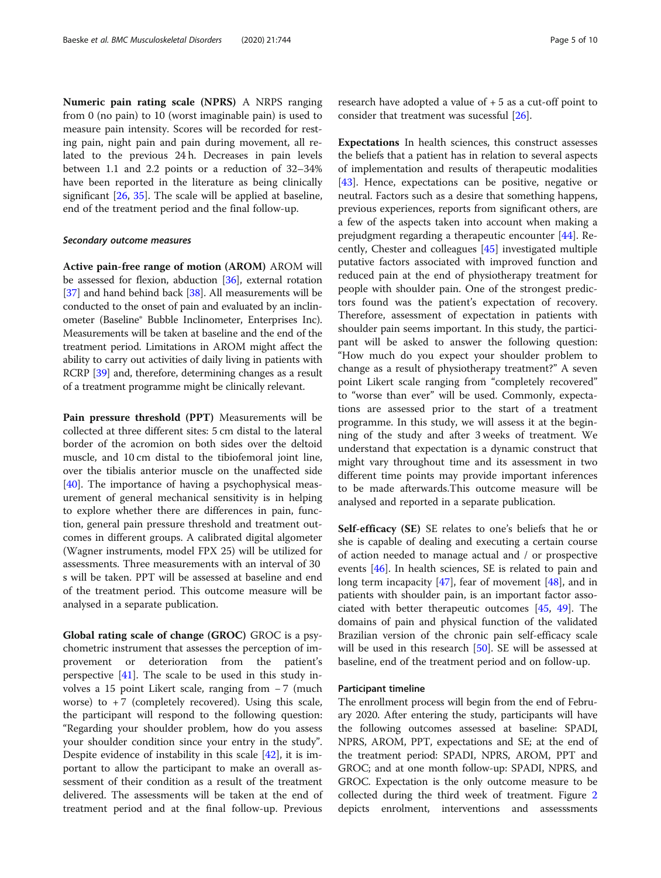Numeric pain rating scale (NPRS) A NRPS ranging from 0 (no pain) to 10 (worst imaginable pain) is used to measure pain intensity. Scores will be recorded for resting pain, night pain and pain during movement, all related to the previous 24 h. Decreases in pain levels between 1.1 and 2.2 points or a reduction of 32–34% have been reported in the literature as being clinically significant [\[26,](#page-9-0) [35](#page-9-0)]. The scale will be applied at baseline, end of the treatment period and the final follow-up.

#### Secondary outcome measures

Active pain-free range of motion (AROM) AROM will be assessed for flexion, abduction [\[36\]](#page-9-0), external rotation [[37](#page-9-0)] and hand behind back [[38](#page-9-0)]. All measurements will be conducted to the onset of pain and evaluated by an inclinometer (Baseline® Bubble Inclinometer, Enterprises Inc). Measurements will be taken at baseline and the end of the treatment period. Limitations in AROM might affect the ability to carry out activities of daily living in patients with RCRP [[39](#page-9-0)] and, therefore, determining changes as a result of a treatment programme might be clinically relevant.

Pain pressure threshold (PPT) Measurements will be collected at three different sites: 5 cm distal to the lateral border of the acromion on both sides over the deltoid muscle, and 10 cm distal to the tibiofemoral joint line, over the tibialis anterior muscle on the unaffected side [[40\]](#page-9-0). The importance of having a psychophysical measurement of general mechanical sensitivity is in helping to explore whether there are differences in pain, function, general pain pressure threshold and treatment outcomes in different groups. A calibrated digital algometer (Wagner instruments, model FPX 25) will be utilized for assessments. Three measurements with an interval of 30 s will be taken. PPT will be assessed at baseline and end of the treatment period. This outcome measure will be analysed in a separate publication.

Global rating scale of change (GROC) GROC is a psychometric instrument that assesses the perception of improvement or deterioration from the patient's perspective  $[41]$  $[41]$ . The scale to be used in this study involves a 15 point Likert scale, ranging from − 7 (much worse) to  $+7$  (completely recovered). Using this scale, the participant will respond to the following question: "Regarding your shoulder problem, how do you assess your shoulder condition since your entry in the study". Despite evidence of instability in this scale [\[42\]](#page-9-0), it is important to allow the participant to make an overall assessment of their condition as a result of the treatment delivered. The assessments will be taken at the end of treatment period and at the final follow-up. Previous

research have adopted a value of  $+5$  as a cut-off point to consider that treatment was sucessful [\[26](#page-9-0)].

Expectations In health sciences, this construct assesses the beliefs that a patient has in relation to several aspects of implementation and results of therapeutic modalities [[43\]](#page-9-0). Hence, expectations can be positive, negative or neutral. Factors such as a desire that something happens, previous experiences, reports from significant others, are a few of the aspects taken into account when making a prejudgment regarding a therapeutic encounter [\[44](#page-9-0)]. Recently, Chester and colleagues [\[45](#page-9-0)] investigated multiple putative factors associated with improved function and reduced pain at the end of physiotherapy treatment for people with shoulder pain. One of the strongest predictors found was the patient's expectation of recovery. Therefore, assessment of expectation in patients with shoulder pain seems important. In this study, the participant will be asked to answer the following question: "How much do you expect your shoulder problem to change as a result of physiotherapy treatment?" A seven point Likert scale ranging from "completely recovered" to "worse than ever" will be used. Commonly, expectations are assessed prior to the start of a treatment programme. In this study, we will assess it at the beginning of the study and after 3 weeks of treatment. We understand that expectation is a dynamic construct that might vary throughout time and its assessment in two different time points may provide important inferences to be made afterwards.This outcome measure will be analysed and reported in a separate publication.

Self-efficacy (SE) SE relates to one's beliefs that he or she is capable of dealing and executing a certain course of action needed to manage actual and / or prospective events [\[46\]](#page-9-0). In health sciences, SE is related to pain and long term incapacity [[47\]](#page-9-0), fear of movement [[48\]](#page-9-0), and in patients with shoulder pain, is an important factor associated with better therapeutic outcomes [[45,](#page-9-0) [49\]](#page-9-0). The domains of pain and physical function of the validated Brazilian version of the chronic pain self-efficacy scale will be used in this research [\[50](#page-9-0)]. SE will be assessed at baseline, end of the treatment period and on follow-up.

## Participant timeline

The enrollment process will begin from the end of February 2020. After entering the study, participants will have the following outcomes assessed at baseline: SPADI, NPRS, AROM, PPT, expectations and SE; at the end of the treatment period: SPADI, NPRS, AROM, PPT and GROC; and at one month follow-up: SPADI, NPRS, and GROC. Expectation is the only outcome measure to be collected during the third week of treatment. Figure [2](#page-5-0) depicts enrolment, interventions and assesssments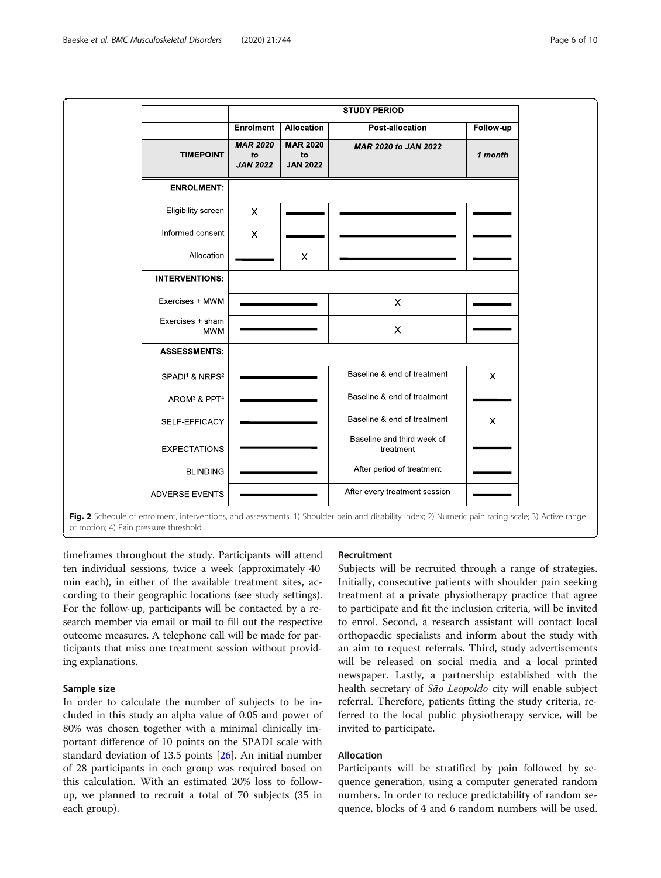<span id="page-5-0"></span>

timeframes throughout the study. Participants will attend ten individual sessions, twice a week (approximately 40 min each), in either of the available treatment sites, according to their geographic locations (see study settings). For the follow-up, participants will be contacted by a research member via email or mail to fill out the respective outcome measures. A telephone call will be made for participants that miss one treatment session without providing explanations.

# Sample size

In order to calculate the number of subjects to be included in this study an alpha value of 0.05 and power of 80% was chosen together with a minimal clinically important difference of 10 points on the SPADI scale with standard deviation of 13.5 points [\[26](#page-9-0)]. An initial number of 28 participants in each group was required based on this calculation. With an estimated 20% loss to followup, we planned to recruit a total of 70 subjects (35 in each group).

# Recruitment

Subjects will be recruited through a range of strategies. Initially, consecutive patients with shoulder pain seeking treatment at a private physiotherapy practice that agree to participate and fit the inclusion criteria, will be invited to enrol. Second, a research assistant will contact local orthopaedic specialists and inform about the study with an aim to request referrals. Third, study advertisements will be released on social media and a local printed newspaper. Lastly, a partnership established with the health secretary of São Leopoldo city will enable subject referral. Therefore, patients fitting the study criteria, referred to the local public physiotherapy service, will be invited to participate.

# Allocation

Participants will be stratified by pain followed by sequence generation, using a computer generated random numbers. In order to reduce predictability of random sequence, blocks of 4 and 6 random numbers will be used.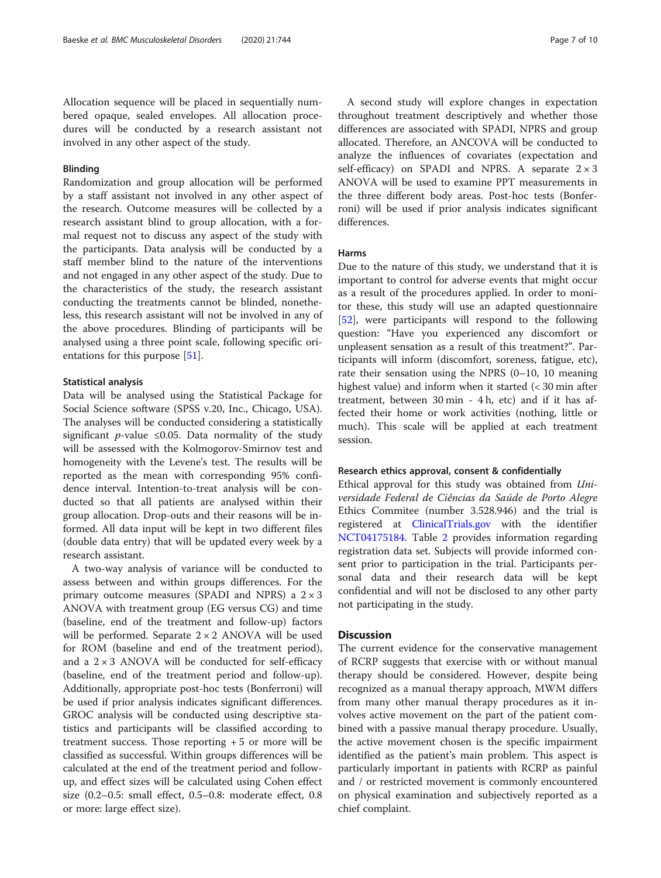Allocation sequence will be placed in sequentially numbered opaque, sealed envelopes. All allocation procedures will be conducted by a research assistant not involved in any other aspect of the study.

## Blinding

Randomization and group allocation will be performed by a staff assistant not involved in any other aspect of the research. Outcome measures will be collected by a research assistant blind to group allocation, with a formal request not to discuss any aspect of the study with the participants. Data analysis will be conducted by a staff member blind to the nature of the interventions and not engaged in any other aspect of the study. Due to the characteristics of the study, the research assistant conducting the treatments cannot be blinded, nonetheless, this research assistant will not be involved in any of the above procedures. Blinding of participants will be analysed using a three point scale, following specific orientations for this purpose [\[51](#page-9-0)].

### Statistical analysis

Data will be analysed using the Statistical Package for Social Science software (SPSS v.20, Inc., Chicago, USA). The analyses will be conducted considering a statistically significant *p*-value ≤0.05. Data normality of the study will be assessed with the Kolmogorov-Smirnov test and homogeneity with the Levene's test. The results will be reported as the mean with corresponding 95% confidence interval. Intention-to-treat analysis will be conducted so that all patients are analysed within their group allocation. Drop-outs and their reasons will be informed. All data input will be kept in two different files (double data entry) that will be updated every week by a research assistant.

A two-way analysis of variance will be conducted to assess between and within groups differences. For the primary outcome measures (SPADI and NPRS) a  $2 \times 3$ ANOVA with treatment group (EG versus CG) and time (baseline, end of the treatment and follow-up) factors will be performed. Separate 2 × 2 ANOVA will be used for ROM (baseline and end of the treatment period), and a  $2 \times 3$  ANOVA will be conducted for self-efficacy (baseline, end of the treatment period and follow-up). Additionally, appropriate post-hoc tests (Bonferroni) will be used if prior analysis indicates significant differences. GROC analysis will be conducted using descriptive statistics and participants will be classified according to treatment success. Those reporting  $+5$  or more will be classified as successful. Within groups differences will be calculated at the end of the treatment period and followup, and effect sizes will be calculated using Cohen effect size (0.2–0.5: small effect, 0.5–0.8: moderate effect, 0.8 or more: large effect size).

A second study will explore changes in expectation throughout treatment descriptively and whether those differences are associated with SPADI, NPRS and group allocated. Therefore, an ANCOVA will be conducted to analyze the influences of covariates (expectation and self-efficacy) on SPADI and NPRS. A separate  $2 \times 3$ ANOVA will be used to examine PPT measurements in the three different body areas. Post-hoc tests (Bonferroni) will be used if prior analysis indicates significant differences.

### Harms

Due to the nature of this study, we understand that it is important to control for adverse events that might occur as a result of the procedures applied. In order to monitor these, this study will use an adapted questionnaire [[52\]](#page-9-0), were participants will respond to the following question: "Have you experienced any discomfort or unpleasent sensation as a result of this treatment?". Participants will inform (discomfort, soreness, fatigue, etc), rate their sensation using the NPRS (0–10, 10 meaning highest value) and inform when it started (< 30 min after treatment, between 30 min - 4 h, etc) and if it has affected their home or work activities (nothing, little or much). This scale will be applied at each treatment session.

#### Research ethics approval, consent & confidentially

Ethical approval for this study was obtained from Universidade Federal de Ciências da Saúde de Porto Alegre Ethics Commitee (number 3.528.946) and the trial is registered at [ClinicalTrials.gov](http://clinicaltrials.gov) with the identifier [NCT04175184.](https://www.clinicaltrials.gov/ct2/show/NCT04175184?term=NCT04175184&draw=2&rank=1) Table [2](#page-7-0) provides information regarding registration data set. Subjects will provide informed consent prior to participation in the trial. Participants personal data and their research data will be kept confidential and will not be disclosed to any other party not participating in the study.

#### **Discussion**

The current evidence for the conservative management of RCRP suggests that exercise with or without manual therapy should be considered. However, despite being recognized as a manual therapy approach, MWM differs from many other manual therapy procedures as it involves active movement on the part of the patient combined with a passive manual therapy procedure. Usually, the active movement chosen is the specific impairment identified as the patient's main problem. This aspect is particularly important in patients with RCRP as painful and / or restricted movement is commonly encountered on physical examination and subjectively reported as a chief complaint.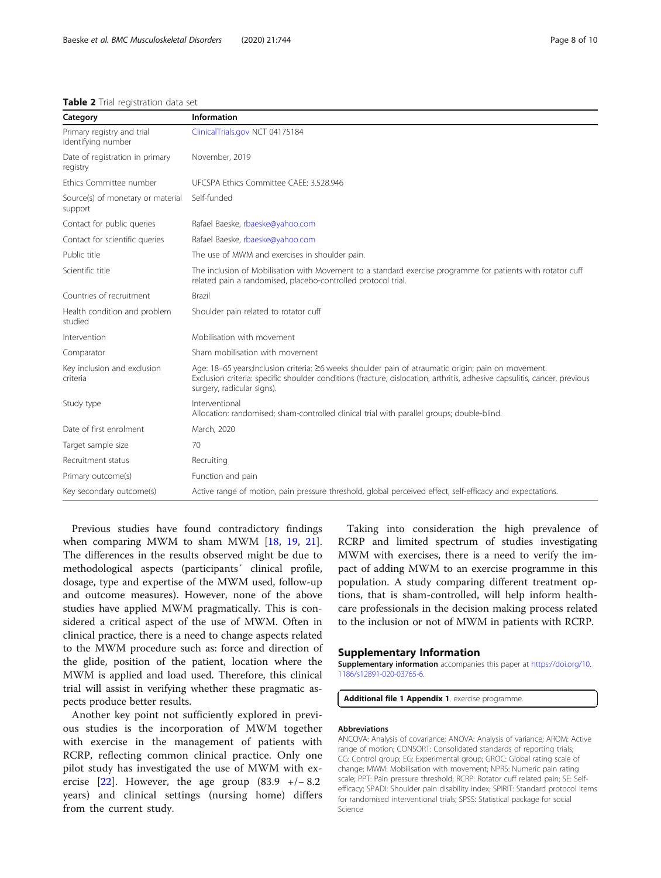#### <span id="page-7-0"></span>Table 2 Trial registration data set

| Category                                         | Information                                                                                                                                                                                                                                                     |
|--------------------------------------------------|-----------------------------------------------------------------------------------------------------------------------------------------------------------------------------------------------------------------------------------------------------------------|
| Primary registry and trial<br>identifying number | ClinicalTrials.gov NCT 04175184                                                                                                                                                                                                                                 |
| Date of registration in primary<br>registry      | November, 2019                                                                                                                                                                                                                                                  |
| Ethics Committee number                          | UFCSPA Ethics Committee CAEE: 3.528.946                                                                                                                                                                                                                         |
| Source(s) of monetary or material<br>support     | Self-funded                                                                                                                                                                                                                                                     |
| Contact for public queries                       | Rafael Baeske, rbaeske@yahoo.com                                                                                                                                                                                                                                |
| Contact for scientific queries                   | Rafael Baeske, rbaeske@yahoo.com                                                                                                                                                                                                                                |
| Public title                                     | The use of MWM and exercises in shoulder pain.                                                                                                                                                                                                                  |
| Scientific title                                 | The inclusion of Mobilisation with Movement to a standard exercise programme for patients with rotator cuff<br>related pain a randomised, placebo-controlled protocol trial.                                                                                    |
| Countries of recruitment                         | Brazil                                                                                                                                                                                                                                                          |
| Health condition and problem<br>studied          | Shoulder pain related to rotator cuff                                                                                                                                                                                                                           |
| Intervention                                     | Mobilisation with movement                                                                                                                                                                                                                                      |
| Comparator                                       | Sham mobilisation with movement                                                                                                                                                                                                                                 |
| Key inclusion and exclusion<br>criteria          | Age: 18-65 years; Inclusion criteria: ≥6 weeks shoulder pain of atraumatic origin; pain on movement.<br>Exclusion criteria: specific shoulder conditions (fracture, dislocation, arthritis, adhesive capsulitis, cancer, previous<br>surgery, radicular signs). |
| Study type                                       | Interventional<br>Allocation: randomised; sham-controlled clinical trial with parallel groups; double-blind.                                                                                                                                                    |
| Date of first enrolment                          | March, 2020                                                                                                                                                                                                                                                     |
| Target sample size                               | 70                                                                                                                                                                                                                                                              |
| Recruitment status                               | Recruiting                                                                                                                                                                                                                                                      |
| Primary outcome(s)                               | Function and pain                                                                                                                                                                                                                                               |
| Key secondary outcome(s)                         | Active range of motion, pain pressure threshold, global perceived effect, self-efficacy and expectations.                                                                                                                                                       |
|                                                  |                                                                                                                                                                                                                                                                 |

Previous studies have found contradictory findings when comparing MWM to sham MWM [[18](#page-8-0), [19](#page-8-0), [21](#page-8-0)]. The differences in the results observed might be due to methodological aspects (participants´ clinical profile, dosage, type and expertise of the MWM used, follow-up and outcome measures). However, none of the above studies have applied MWM pragmatically. This is considered a critical aspect of the use of MWM. Often in clinical practice, there is a need to change aspects related to the MWM procedure such as: force and direction of the glide, position of the patient, location where the MWM is applied and load used. Therefore, this clinical trial will assist in verifying whether these pragmatic aspects produce better results.

Another key point not sufficiently explored in previous studies is the incorporation of MWM together with exercise in the management of patients with RCRP, reflecting common clinical practice. Only one pilot study has investigated the use of MWM with ex-ercise [[22\]](#page-8-0). However, the age group  $(83.9 +/- 8.2)$ years) and clinical settings (nursing home) differs from the current study.

Taking into consideration the high prevalence of RCRP and limited spectrum of studies investigating MWM with exercises, there is a need to verify the impact of adding MWM to an exercise programme in this population. A study comparing different treatment options, that is sham-controlled, will help inform healthcare professionals in the decision making process related to the inclusion or not of MWM in patients with RCRP.

## Supplementary Information

Supplementary information accompanies this paper at [https://doi.org/10.](https://doi.org/10.1186/s12891-020-03765-6) [1186/s12891-020-03765-6](https://doi.org/10.1186/s12891-020-03765-6).

Additional file 1 Appendix 1. exercise programme.

#### Abbreviations

ANCOVA: Analysis of covariance; ANOVA: Analysis of variance; AROM: Active range of motion; CONSORT: Consolidated standards of reporting trials; CG: Control group; EG: Experimental group; GROC: Global rating scale of change; MWM: Mobilisation with movement; NPRS: Numeric pain rating scale; PPT: Pain pressure threshold; RCRP: Rotator cuff related pain; SE: Selfefficacy; SPADI: Shoulder pain disability index; SPIRIT: Standard protocol items for randomised interventional trials; SPSS: Statistical package for social Science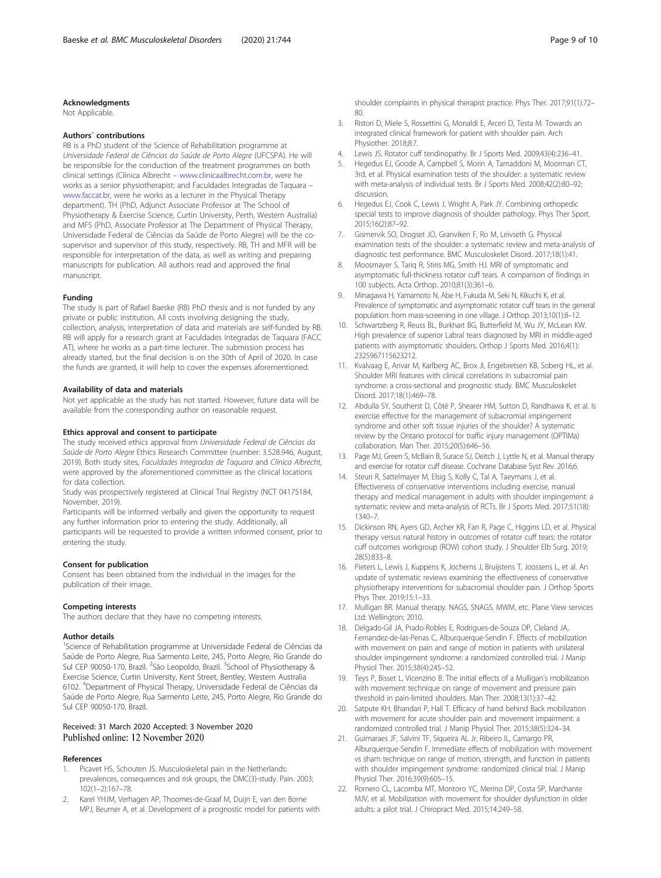#### <span id="page-8-0"></span>Acknowledgments

Not Applicable.

#### Authors´ contributions

RB is a PhD student of the Science of Rehabilitation programme at Universidade Federal de Ciências da Saúde de Porto Alegre (UFCSPA). He will be responsible for the conduction of the treatment programmes on both clinical settings (Clínica Albrecht – [www.clinicaalbrecht.com.br](http://www.clinicaalbrecht.com.brww), were he works as a senior physiotherapist; and Faculdades Integradas de Taquara – [www.faccat.br](http://www.faccat.br), were he works as a lecturer in the Physical Therapy department). TH (PhD, Adjunct Associate Professor at The School of Physiotherapy & Exercise Science, Curtin University, Perth, Western Australia) and MFS (PhD, Associate Professor at The Department of Physical Therapy, Universidade Federal de Ciências da Saúde de Porto Alegre) will be the cosupervisor and supervisor of this study, respectively. RB, TH and MFR will be responsible for interpretation of the data, as well as writing and preparing manuscripts for publication. All authors read and approved the final manuscript.

#### Funding

The study is part of Rafael Baeske (RB) PhD thesis and is not funded by any private or public institution. All costs involving designing the study, collection, analysis, interpretation of data and materials are self-funded by RB. RB will apply for a research grant at Faculdades Integradas de Taquara (FACC AT), where he works as a part-time lecturer. The submission process has already started, but the final decision is on the 30th of April of 2020. In case the funds are granted, it will help to cover the expenses aforementioned.

#### Availability of data and materials

Not yet applicable as the study has not started. However, future data will be available from the corresponding author on reasonable request.

#### Ethics approval and consent to participate

The study received ethics approval from Universidade Federal de Ciências da Saúde de Porto Alegre Ethics Research Committee (number: 3.528.946, August, 2019). Both study sites, Faculdades Integradas de Taquara and Clínica Albrecht, were approved by the aforementioned committee as the clinical locations for data collection.

Study was prospectively registered at Clinical Trial Registry (NCT 04175184, November, 2019).

Participants will be informed verbally and given the opportunity to request any further information prior to entering the study. Additionally, all participants will be requested to provide a written informed consent, prior to entering the study.

#### Consent for publication

Consent has been obtained from the individual in the images for the publication of their image.

#### Competing interests

The authors declare that they have no competing interests.

#### Author details

<sup>1</sup>Science of Rehabilitation programme at Universidade Federal de Ciências da Saúde de Porto Alegre, Rua Sarmento Leite, 245, Porto Alegre, Rio Grande do Sul CEP 90050-170, Brazil. <sup>2</sup>São Leopoldo, Brazil. <sup>3</sup>School of Physiotherapy & Exercise Science, Curtin University, Kent Street, Bentley, Western Australia 6102. <sup>4</sup> Department of Physical Therapy, Universidade Federal de Ciências da Saúde de Porto Alegre, Rua Sarmento Leite, 245, Porto Alegre, Rio Grande do Sul CEP 90050-170, Brazil.

## Received: 31 March 2020 Accepted: 3 November 2020 Published online: 12 November 2020

#### References

- Picavet HS, Schouten JS. Musculoskeletal pain in the Netherlands: prevalences, consequences and risk groups, the DMC(3)-study. Pain. 2003; 102(1–2):167–78.
- Karel YHJM, Verhagen AP, Thoomes-de-Graaf M, Duijn E, van den Borne MPJ, Beumer A, et al. Development of a prognostic model for patients with

shoulder complaints in physical therapist practice. Phys Ther. 2017;91(1):72– 80.

- 3. Ristori D, Miele S, Rossettini G, Monaldi E, Arceri D, Testa M. Towards an integrated clinical framework for patient with shoulder pain. Arch Physiother. 2018;8:7.
- 4. Lewis JS. Rotator cuff tendinopathy. Br J Sports Med. 2009;43(4):236–41.
- 5. Hegedus EJ, Goode A, Campbell S, Morin A, Tamaddoni M, Moorman CT, 3rd, et al. Physical examination tests of the shoulder: a systematic review with meta-analysis of individual tests. Br J Sports Med. 2008;42(2):80-92; discussion.
- Hegedus EJ, Cook C, Lewis J, Wright A, Park JY. Combining orthopedic special tests to improve diagnosis of shoulder pathology. Phys Ther Sport. 2015;16(2):87–92.
- 7. Gismervik SO, Drogset JO, Granviken F, Ro M, Leivseth G. Physical examination tests of the shoulder: a systematic review and meta-analysis of diagnostic test performance. BMC Musculoskelet Disord. 2017;18(1):41.
- 8. Moosmayer S, Tariq R, Stiris MG, Smith HJ. MRI of symptomatic and asymptomatic full-thickness rotator cuff tears. A comparison of findings in 100 subjects. Acta Orthop. 2010;81(3):361–6.
- 9. Minagawa H, Yamamoto N, Abe H, Fukuda M, Seki N, Kikuchi K, et al. Prevalence of symptomatic and asymptomatic rotator cuff tears in the general population: from mass-screening in one village. J Orthop. 2013;10(1):8–12.
- 10. Schwartzberg R, Reuss BL, Burkhart BG, Butterfield M, Wu JY, McLean KW. High prevalence of superior Labral tears diagnosed by MRI in middle-aged patients with asymptomatic shoulders. Orthop J Sports Med. 2016;4(1): 2325967115623212.
- 11. Kvalvaag E, Anvar M, Karlberg AC, Brox JI, Engebretsen KB, Soberg HL, et al. Shoulder MRI features with clinical correlations in subacromial pain syndrome: a cross-sectional and prognostic study. BMC Musculoskelet Disord. 2017;18(1):469–78.
- 12. Abdulla SY, Southerst D, Côté P, Shearer HM, Sutton D, Randhawa K, et al. Is exercise effective for the management of subacromial impingement syndrome and other soft tissue injuries of the shoulder? A systematic review by the Ontario protocol for traffic injury management (OPTIMa) collaboration. Man Ther. 2015;20(5):646–56.
- 13. Page MJ, Green S, McBain B, Surace SJ, Deitch J, Lyttle N, et al. Manual therapy and exercise for rotator cuff disease. Cochrane Database Syst Rev. 2016;6.
- 14. Steuri R, Sattelmayer M, Elsig S, Kolly C, Tal A, Taeymans J, et al. Effectiveness of conservative interventions including exercise, manual therapy and medical management in adults with shoulder impingement: a systematic review and meta-analysis of RCTs. Br J Sports Med. 2017;51(18): 1340–7.
- 15. Dickinson RN, Ayers GD, Archer KR, Fan R, Page C, Higgins LD, et al. Physical therapy versus natural history in outcomes of rotator cuff tears: the rotator cuff outcomes workgroup (ROW) cohort study. J Shoulder Elb Surg. 2019; 28(5):833–8.
- 16. Pieters L, Lewis J, Kuppens K, Jochems J, Bruijstens T, Joossens L, et al. An update of systematic reviews examining the effectiveness of conservative physiotherapy interventions for subacromial shoulder pain. J Orthop Sports Phys Ther. 2019;15:1–33.
- 17. Mulligan BR. Manual therapy. NAGS, SNAGS, MWM, etc. Plane View services Ltd: Wellington; 2010.
- 18. Delgado-Gil JA, Prado-Robles E, Rodrigues-de-Souza DP, Cleland JA, Fernandez-de-las-Penas C, Alburquerque-Sendin F. Effects of mobilization with movement on pain and range of motion in patients with unilateral shoulder impingement syndrome: a randomized controlled trial. J Manip Physiol Ther. 2015;38(4):245–52.
- 19. Teys P, Bisset L, Vicenzino B. The initial effects of a Mulligan's mobilization with movement technique on range of movement and pressure pain threshold in pain-limited shoulders. Man Ther. 2008;13(1):37–42.
- 20. Satpute KH, Bhandari P, Hall T. Efficacy of hand behind Back mobilization with movement for acute shoulder pain and movement impairment: a randomized controlled trial. J Manip Physiol Ther. 2015;38(5):324–34.
- 21. Guimaraes JF, Salvini TF, Siqueira AL Jr, Ribeiro IL, Camargo PR, Alburquerque-Sendin F. Immediate effects of mobilization with movement vs sham technique on range of motion, strength, and function in patients with shoulder impingement syndrome: randomized clinical trial. J Manip Physiol Ther. 2016;39(9):605–15.
- 22. Romero CL, Lacomba MT, Montoro YC, Merino DP, Costa SP, Marchante MJV, et al. Mobilization with movement for shoulder dysfunction in older adults: a pilot trial. J Chiropract Med. 2015;14:249–58.